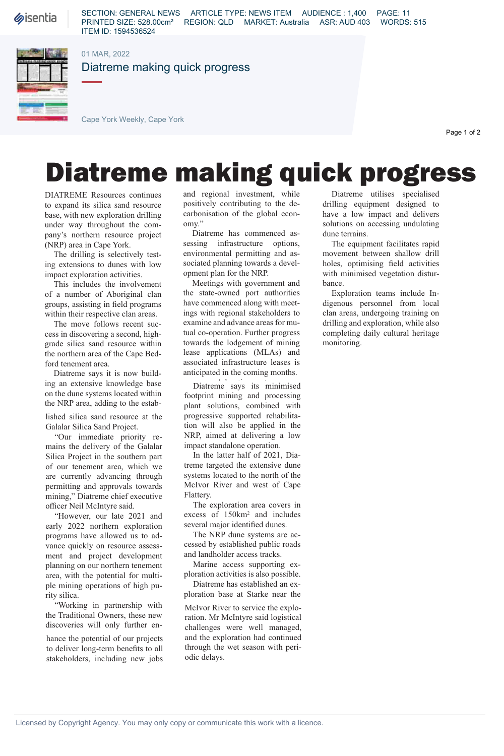*Sisentia* 

SECTION: GENERAL NEWS ARTICLE TYPE: NEWS ITEM AUDIENCE : 1,400 PAGE: 11 PRINTED SIZE: 528.00cm² REGION: QLD MARKET: Australia ASR: AUD 403 WORDS: 515 ITEM ID: 1594536524

01 MAR, 2022

Diatreme making quick progress

Cape York Weekly, Cape York

Page 1 of 2

## Diatreme making quick progress

DIATREME Resources continues to expand its silica sand resource base, with new exploration drilling under way throughout the company's northern resource project (NRP) area in Cape York.

The drilling is selectively testing extensions to dunes with low impact exploration activities.

This includes the involvement of a number of Aboriginal clan groups, assisting in field programs within their respective clan areas.

The move follows recent success in discovering a second, highgrade silica sand resource within the northern area of the Cape Bedford tenement area.

Diatreme says it is now building an extensive knowledge base on the dune systems located within the NRP area, adding to the estab-

lished silica sand resource at the Galalar Silica Sand Project.

"Our immediate priority remains the delivery of the Galalar Silica Project in the southern part of our tenement area, which we are currently advancing through permitting and approvals towards mining," Diatreme chief executive officer Neil McIntyre said.

"However, our late 2021 and early 2022 northern exploration programs have allowed us to advance quickly on resource assessment and project development planning on our northern tenement area, with the potential for multiple mining operations of high purity silica.

"Working in partnership with the Traditional Owners, these new discoveries will only further en-

hance the potential of our projects to deliver long-term benefits to all stakeholders, including new jobs

and regional investment, while positively contributing to the decarbonisation of the global economy."

Diatreme has commenced assessing infrastructure options, environmental permitting and associated planning towards a development plan for the NRP.

Meetings with government and the state-owned port authorities have commenced along with meetings with regional stakeholders to examine and advance areas for mutual co-operation. Further progress towards the lodgement of mining lease applications (MLAs) and associated infrastructure leases is anticipated in the coming months.

Diatreme says its minimised footprint mining and processing plant solutions, combined with progressive supported rehabilitation will also be applied in the NRP, aimed at delivering a low impact standalone operation.

In the latter half of 2021, Diatreme targeted the extensive dune systems located to the north of the McIvor River and west of Cape Flattery.

The exploration area covers in excess of 150km<sup>2</sup> and includes several major identified dunes.

The NRP dune systems are accessed by established public roads and landholder access tracks.

Marine access supporting exploration activities is also possible.

Diatreme has established an exploration base at Starke near the

McIvor River to service the exploration. Mr McIntyre said logistical challenges were well managed, and the exploration had continued through the wet season with periodic delays.

Diatreme utilises specialised drilling equipment designed to have a low impact and delivers solutions on accessing undulating dune terrains.

The equipment facilitates rapid movement between shallow drill holes, optimising field activities with minimised vegetation disturbance.

Exploration teams include Indigenous personnel from local clan areas, undergoing training on drilling and exploration, while also completing daily cultural heritage monitoring.